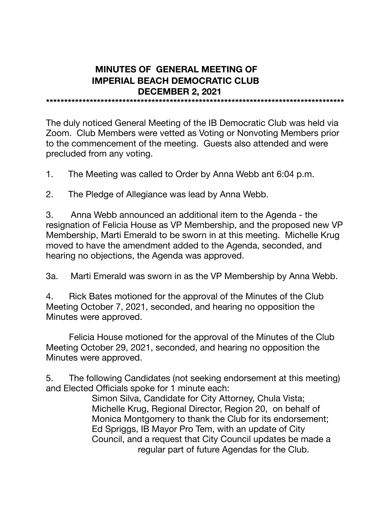## **MINUTES OF GENERAL MEETING OF IMPERIAL BEACH DEMOCRATIC CLUB DECEMBER 2, 2021**

**\*\*\*\*\*\*\*\*\*\*\*\*\*\*\*\*\*\*\*\*\*\*\*\*\*\*\*\*\*\*\*\*\*\*\*\*\*\*\*\*\*\*\*\*\*\*\*\*\*\*\*\*\*\*\*\*\*\*\*\*\*\*\*\*\*\*\*\*\*\*\*\*\*\*\*\*\*\*\*\*\*\***

The duly noticed General Meeting of the IB Democratic Club was held via Zoom. Club Members were vetted as Voting or Nonvoting Members prior to the commencement of the meeting. Guests also attended and were precluded from any voting.

1. The Meeting was called to Order by Anna Webb ant 6:04 p.m.

2. The Pledge of Allegiance was lead by Anna Webb.

3. Anna Webb announced an additional item to the Agenda - the resignation of Felicia House as VP Membership, and the proposed new VP Membership, Marti Emerald to be sworn in at this meeting. Michelle Krug moved to have the amendment added to the Agenda, seconded, and hearing no objections, the Agenda was approved.

3a. Marti Emerald was sworn in as the VP Membership by Anna Webb.

4. Rick Bates motioned for the approval of the Minutes of the Club Meeting October 7, 2021, seconded, and hearing no opposition the Minutes were approved.

Felicia House motioned for the approval of the Minutes of the Club Meeting October 29, 2021, seconded, and hearing no opposition the Minutes were approved.

5. The following Candidates (not seeking endorsement at this meeting) and Elected Officials spoke for 1 minute each:

 Simon Silva, Candidate for City Attorney, Chula Vista; Michelle Krug, Regional Director, Region 20, on behalf of Monica Montgomery to thank the Club for its endorsement; Ed Spriggs, IB Mayor Pro Tem, with an update of City Council, and a request that City Council updates be made a regular part of future Agendas for the Club.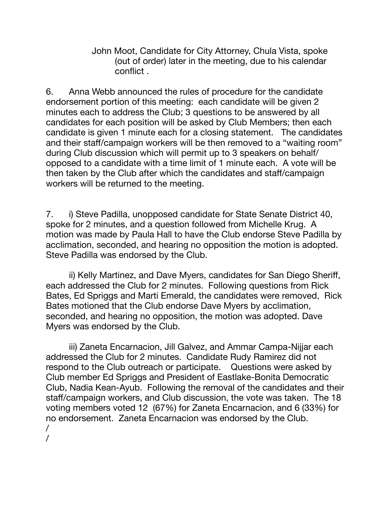John Moot, Candidate for City Attorney, Chula Vista, spoke (out of order) later in the meeting, due to his calendar conflict .

6. Anna Webb announced the rules of procedure for the candidate endorsement portion of this meeting: each candidate will be given 2 minutes each to address the Club; 3 questions to be answered by all candidates for each position will be asked by Club Members; then each candidate is given 1 minute each for a closing statement. The candidates and their staff/campaign workers will be then removed to a "waiting room" during Club discussion which will permit up to 3 speakers on behalf/ opposed to a candidate with a time limit of 1 minute each. A vote will be then taken by the Club after which the candidates and staff/campaign workers will be returned to the meeting.

7. i) Steve Padilla, unopposed candidate for State Senate District 40, spoke for 2 minutes, and a question followed from Michelle Krug. A motion was made by Paula Hall to have the Club endorse Steve Padilla by acclimation, seconded, and hearing no opposition the motion is adopted. Steve Padilla was endorsed by the Club.

ii) Kelly Martinez, and Dave Myers, candidates for San Diego Sheriff, each addressed the Club for 2 minutes. Following questions from Rick Bates, Ed Spriggs and Marti Emerald, the candidates were removed, Rick Bates motioned that the Club endorse Dave Myers by acclimation, seconded, and hearing no opposition, the motion was adopted. Dave Myers was endorsed by the Club.

iii) Zaneta Encarnacion, Jill Galvez, and Ammar Campa-Nijjar each addressed the Club for 2 minutes. Candidate Rudy Ramirez did not respond to the Club outreach or participate. Questions were asked by Club member Ed Spriggs and President of Eastlake-Bonita Democratic Club, Nadia Kean-Ayub. Following the removal of the candidates and their staff/campaign workers, and Club discussion, the vote was taken. The 18 voting members voted 12 (67%) for Zaneta Encarnacion, and 6 (33%) for no endorsement. Zaneta Encarnacion was endorsed by the Club. /

/